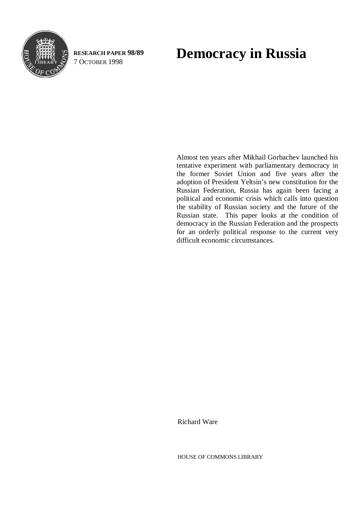

**RESEARCH PAPER 98/89**

# RESEARCH PAPER 98/89 **Democracy in Russia**<br>7 OCTOBER 1998

Almost ten years after Mikhail Gorbachev launched his tentative experiment with parliamentary democracy in the former Soviet Union and five years after the adoption of President Yeltsin's new constitution for the Russian Federation, Russia has again been facing a political and economic crisis which calls into question the stability of Russian society and the future of the Russian state. This paper looks at the condition of democracy in the Russian Federation and the prospects for an orderly political response to the current very difficult economic circumstances.

Richard Ware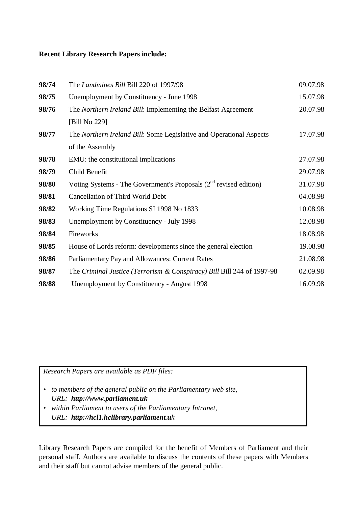#### **Recent Library Research Papers include:**

| 98/74 | The Landmines Bill Bill 220 of 1997/98                                 | 09.07.98 |
|-------|------------------------------------------------------------------------|----------|
| 98/75 | Unemployment by Constituency - June 1998                               | 15.07.98 |
| 98/76 | The Northern Ireland Bill: Implementing the Belfast Agreement          | 20.07.98 |
|       | [Bill No 229]                                                          |          |
| 98/77 | The Northern Ireland Bill: Some Legislative and Operational Aspects    | 17.07.98 |
|       | of the Assembly                                                        |          |
| 98/78 | EMU: the constitutional implications                                   | 27.07.98 |
| 98/79 | Child Benefit                                                          | 29.07.98 |
| 98/80 | Voting Systems - The Government's Proposals $(2^{nd}$ revised edition) | 31.07.98 |
| 98/81 | <b>Cancellation of Third World Debt</b>                                | 04.08.98 |
| 98/82 | Working Time Regulations SI 1998 No 1833                               | 10.08.98 |
| 98/83 | Unemployment by Constituency - July 1998                               | 12.08.98 |
| 98/84 | Fireworks                                                              | 18.08.98 |
| 98/85 | House of Lords reform: developments since the general election         | 19.08.98 |
| 98/86 | Parliamentary Pay and Allowances: Current Rates                        | 21.08.98 |
| 98/87 | The Criminal Justice (Terrorism & Conspiracy) Bill Bill 244 of 1997-98 | 02.09.98 |
| 98/88 | Unemployment by Constituency - August 1998                             | 16.09.98 |

*Research Papers are available as PDF files:*

- *to members of the general public on the Parliamentary web site, URL: http://www.parliament.uk*
- *within Parliament to users of the Parliamentary Intranet, URL: http://hcl1.hclibrary.parliament.uk*

Library Research Papers are compiled for the benefit of Members of Parliament and their personal staff. Authors are available to discuss the contents of these papers with Members and their staff but cannot advise members of the general public.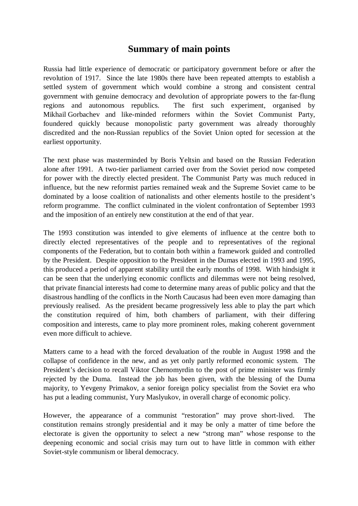### **Summary of main points**

Russia had little experience of democratic or participatory government before or after the revolution of 1917. Since the late 1980s there have been repeated attempts to establish a settled system of government which would combine a strong and consistent central government with genuine democracy and devolution of appropriate powers to the far-flung regions and autonomous republics. The first such experiment, organised by Mikhail Gorbachev and like-minded reformers within the Soviet Communist Party, foundered quickly because monopolistic party government was already thoroughly discredited and the non-Russian republics of the Soviet Union opted for secession at the earliest opportunity.

The next phase was masterminded by Boris Yeltsin and based on the Russian Federation alone after 1991. A two-tier parliament carried over from the Soviet period now competed for power with the directly elected president. The Communist Party was much reduced in influence, but the new reformist parties remained weak and the Supreme Soviet came to be dominated by a loose coalition of nationalists and other elements hostile to the president's reform programme. The conflict culminated in the violent confrontation of September 1993 and the imposition of an entirely new constitution at the end of that year.

The 1993 constitution was intended to give elements of influence at the centre both to directly elected representatives of the people and to representatives of the regional components of the Federation, but to contain both within a framework guided and controlled by the President. Despite opposition to the President in the Dumas elected in 1993 and 1995, this produced a period of apparent stability until the early months of 1998. With hindsight it can be seen that the underlying economic conflicts and dilemmas were not being resolved, that private financial interests had come to determine many areas of public policy and that the disastrous handling of the conflicts in the North Caucasus had been even more damaging than previously realised. As the president became progressively less able to play the part which the constitution required of him, both chambers of parliament, with their differing composition and interests, came to play more prominent roles, making coherent government even more difficult to achieve.

Matters came to a head with the forced devaluation of the rouble in August 1998 and the collapse of confidence in the new, and as yet only partly reformed economic system. The President's decision to recall Viktor Chernomyrdin to the post of prime minister was firmly rejected by the Duma. Instead the job has been given, with the blessing of the Duma majority, to Yevgeny Primakov, a senior foreign policy specialist from the Soviet era who has put a leading communist, Yury Maslyukov, in overall charge of economic policy.

However, the appearance of a communist "restoration" may prove short-lived. The constitution remains strongly presidential and it may be only a matter of time before the electorate is given the opportunity to select a new "strong man" whose response to the deepening economic and social crisis may turn out to have little in common with either Soviet-style communism or liberal democracy.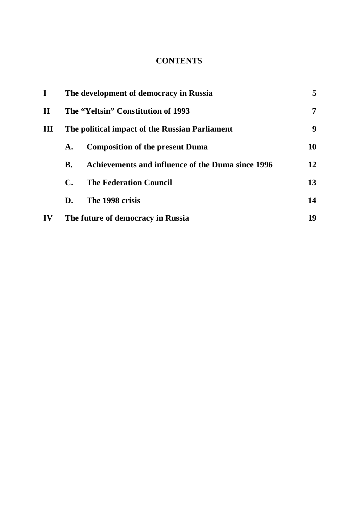#### **CONTENTS**

| $\bf{I}$     | The development of democracy in Russia         |                                                   |    |
|--------------|------------------------------------------------|---------------------------------------------------|----|
| $\mathbf{H}$ | The "Yeltsin" Constitution of 1993             |                                                   |    |
| $\mathbf{I}$ | The political impact of the Russian Parliament |                                                   |    |
|              | A.                                             | <b>Composition of the present Duma</b>            | 10 |
|              | <b>B.</b>                                      | Achievements and influence of the Duma since 1996 | 12 |
|              | $\mathbf{C}$                                   | <b>The Federation Council</b>                     | 13 |
|              | D.                                             | The 1998 crisis                                   | 14 |
| IV           | The future of democracy in Russia              |                                                   | 19 |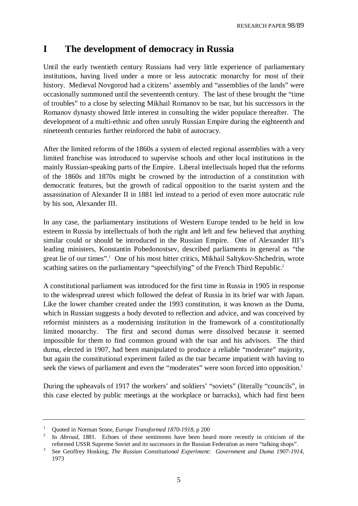## **I The development of democracy in Russia**

Until the early twentieth century Russians had very little experience of parliamentary institutions, having lived under a more or less autocratic monarchy for most of their history. Medieval Novgorod had a citizens' assembly and "assemblies of the lands" were occasionally summoned until the seventeenth century. The last of these brought the "time of troubles" to a close by selecting Mikhail Romanov to be tsar, but his successors in the Romanov dynasty showed little interest in consulting the wider populace thereafter. The development of a multi-ethnic and often unruly Russian Empire during the eighteenth and nineteenth centuries further reinforced the habit of autocracy.

After the limited reforms of the 1860s a system of elected regional assemblies with a very limited franchise was introduced to supervise schools and other local institutions in the mainly Russian-speaking parts of the Empire. Liberal intellectuals hoped that the reforms of the 1860s and 1870s might be crowned by the introduction of a constitution with democratic features, but the growth of radical opposition to the tsarist system and the assassination of Alexander II in 1881 led instead to a period of even more autocratic rule by his son, Alexander III.

In any case, the parliamentary institutions of Western Europe tended to be held in low esteem in Russia by intellectuals of both the right and left and few believed that anything similar could or should be introduced in the Russian Empire. One of Alexander III's leading ministers, Konstantin Pobedonostsev, described parliaments in general as "the great lie of our times".<sup>1</sup> One of his most bitter critics, Mikhail Saltykov-Shchedrin, wrote scathing satires on the parliamentary "speechifying" of the French Third Republic.<sup>2</sup>

A constitutional parliament was introduced for the first time in Russia in 1905 in response to the widespread unrest which followed the defeat of Russia in its brief war with Japan. Like the lower chamber created under the 1993 constitution, it was known as the Duma, which in Russian suggests a body devoted to reflection and advice, and was conceived by reformist ministers as a modernising institution in the framework of a constitutionally limited monarchy. The first and second dumas were dissolved because it seemed impossible for them to find common ground with the tsar and his advisors. The third duma, elected in 1907, had been manipulated to produce a reliable "moderate" majority, but again the constitutional experiment failed as the tsar became impatient with having to seek the views of parliament and even the "moderates" were soon forced into opposition.<sup>3</sup>

During the upheavals of 1917 the workers' and soldiers' "soviets" (literally "councils", in this case elected by public meetings at the workplace or barracks), which had first been

<sup>1</sup> Quoted in Norman Stone, *Europe Transformed 1870-1918*, p 200

<sup>2</sup> In *Abroad*, 1881. Echoes of these sentiments have been heard more recently in criticism of the reformed USSR Supreme Soviet and its successors in the Russian Federation as mere "talking shops".

<sup>3</sup> See Geoffrey Hosking, *The Russian Constitutional Experiment: Government and Duma 1907-1914*, 1973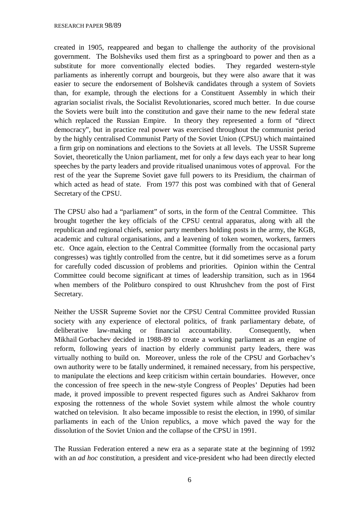created in 1905, reappeared and began to challenge the authority of the provisional government. The Bolsheviks used them first as a springboard to power and then as a substitute for more conventionally elected bodies. They regarded western-style parliaments as inherently corrupt and bourgeois, but they were also aware that it was easier to secure the endorsement of Bolshevik candidates through a system of Soviets than, for example, through the elections for a Constituent Assembly in which their agrarian socialist rivals, the Socialist Revolutionaries, scored much better. In due course the Soviets were built into the constitution and gave their name to the new federal state which replaced the Russian Empire. In theory they represented a form of "direct democracy", but in practice real power was exercised throughout the communist period by the highly centralised Communist Party of the Soviet Union (CPSU) which maintained a firm grip on nominations and elections to the Soviets at all levels. The USSR Supreme Soviet, theoretically the Union parliament, met for only a few days each year to hear long speeches by the party leaders and provide ritualised unanimous votes of approval. For the rest of the year the Supreme Soviet gave full powers to its Presidium, the chairman of which acted as head of state. From 1977 this post was combined with that of General Secretary of the CPSU.

The CPSU also had a "parliament" of sorts, in the form of the Central Committee. This brought together the key officials of the CPSU central apparatus, along with all the republican and regional chiefs, senior party members holding posts in the army, the KGB, academic and cultural organisations, and a leavening of token women, workers, farmers etc. Once again, election to the Central Committee (formally from the occasional party congresses) was tightly controlled from the centre, but it did sometimes serve as a forum for carefully coded discussion of problems and priorities. Opinion within the Central Committee could become significant at times of leadership transition, such as in 1964 when members of the Politburo conspired to oust Khrushchev from the post of First Secretary.

Neither the USSR Supreme Soviet nor the CPSU Central Committee provided Russian society with any experience of electoral politics, of frank parliamentary debate, of deliberative law-making or financial accountability. Consequently, when Mikhail Gorbachev decided in 1988-89 to create a working parliament as an engine of reform, following years of inaction by elderly communist party leaders, there was virtually nothing to build on. Moreover, unless the role of the CPSU and Gorbachev's own authority were to be fatally undermined, it remained necessary, from his perspective, to manipulate the elections and keep criticism within certain boundaries. However, once the concession of free speech in the new-style Congress of Peoples' Deputies had been made, it proved impossible to prevent respected figures such as Andrei Sakharov from exposing the rottenness of the whole Soviet system while almost the whole country watched on television. It also became impossible to resist the election, in 1990, of similar parliaments in each of the Union republics, a move which paved the way for the dissolution of the Soviet Union and the collapse of the CPSU in 1991.

The Russian Federation entered a new era as a separate state at the beginning of 1992 with an *ad hoc* constitution, a president and vice-president who had been directly elected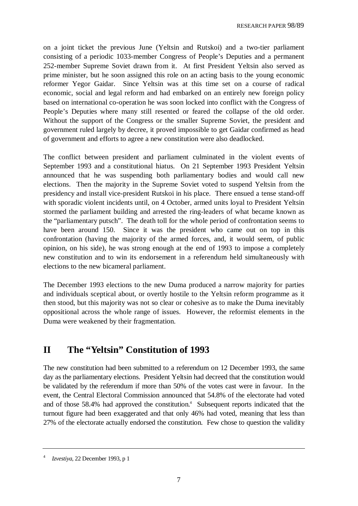on a joint ticket the previous June (Yeltsin and Rutskoi) and a two-tier parliament consisting of a periodic 1033-member Congress of People's Deputies and a permanent 252-member Supreme Soviet drawn from it. At first President Yeltsin also served as prime minister, but he soon assigned this role on an acting basis to the young economic reformer Yegor Gaidar. Since Yeltsin was at this time set on a course of radical economic, social and legal reform and had embarked on an entirely new foreign policy based on international co-operation he was soon locked into conflict with the Congress of People's Deputies where many still resented or feared the collapse of the old order. Without the support of the Congress or the smaller Supreme Soviet, the president and government ruled largely by decree, it proved impossible to get Gaidar confirmed as head of government and efforts to agree a new constitution were also deadlocked.

The conflict between president and parliament culminated in the violent events of September 1993 and a constitutional hiatus. On 21 September 1993 President Yeltsin announced that he was suspending both parliamentary bodies and would call new elections. Then the majority in the Supreme Soviet voted to suspend Yeltsin from the presidency and install vice-president Rutskoi in his place. There ensued a tense stand-off with sporadic violent incidents until, on 4 October, armed units loyal to President Yeltsin stormed the parliament building and arrested the ring-leaders of what became known as the "parliamentary putsch". The death toll for the whole period of confrontation seems to have been around 150. Since it was the president who came out on top in this confrontation (having the majority of the armed forces, and, it would seem, of public opinion, on his side), he was strong enough at the end of 1993 to impose a completely new constitution and to win its endorsement in a referendum held simultaneously with elections to the new bicameral parliament.

The December 1993 elections to the new Duma produced a narrow majority for parties and individuals sceptical about, or overtly hostile to the Yeltsin reform programme as it then stood, but this majority was not so clear or cohesive as to make the Duma inevitably oppositional across the whole range of issues. However, the reformist elements in the Duma were weakened by their fragmentation.

## **II The "Yeltsin" Constitution of 1993**

The new constitution had been submitted to a referendum on 12 December 1993, the same day as the parliamentary elections. President Yeltsin had decreed that the constitution would be validated by the referendum if more than 50% of the votes cast were in favour. In the event, the Central Electoral Commission announced that 54.8% of the electorate had voted and of those 58.4% had approved the constitution.<sup>4</sup> Subsequent reports indicated that the turnout figure had been exaggerated and that only 46% had voted, meaning that less than 27% of the electorate actually endorsed the constitution. Few chose to question the validity

<sup>4</sup> *Izvestiya*, 22 December 1993, p 1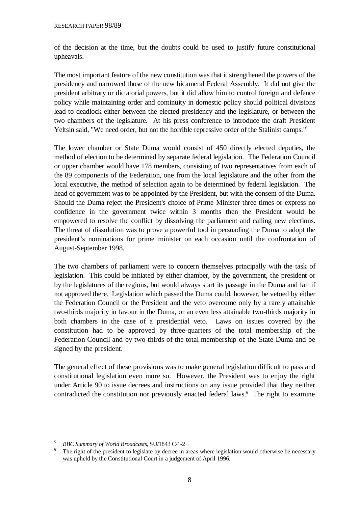of the decision at the time, but the doubts could be used to justify future constitutional upheavals.

The most important feature of the new constitution was that it strengthened the powers of the presidency and narrowed those of the new bicameral Federal Assembly. It did not give the president arbitrary or dictatorial powers, but it did allow him to control foreign and defence policy while maintaining order and continuity in domestic policy should political divisions lead to deadlock either between the elected presidency and the legislature, or between the two chambers of the legislature. At his press conference to introduce the draft President Yeltsin said, "We need order, but not the horrible repressive order of the Stalinist camps."5

The lower chamber or State Duma would consist of 450 directly elected deputies, the method of election to be determined by separate federal legislation. The Federation Council or upper chamber would have 178 members, consisting of two representatives from each of the 89 components of the Federation, one from the local legislature and the other from the local executive, the method of selection again to be determined by federal legislation. The head of government was to be appointed by the President, but with the consent of the Duma. Should the Duma reject the President's choice of Prime Minister three times or express no confidence in the government twice within 3 months then the President would be empowered to resolve the conflict by dissolving the parliament and calling new elections. The threat of dissolution was to prove a powerful tool in persuading the Duma to adopt the president's nominations for prime minister on each occasion until the confrontation of August-September 1998.

The two chambers of parliament were to concern themselves principally with the task of legislation. This could be initiated by either chamber, by the government, the president or by the legislatures of the regions, but would always start its passage in the Duma and fail if not approved there. Legislation which passed the Duma could, however, be vetoed by either the Federation Council or the President and the veto overcome only by a rarely attainable two-thirds majority in favour in the Duma, or an even less attainable two-thirds majority in both chambers in the case of a presidential veto. Laws on issues covered by the constitution had to be approved by three-quarters of the total membership of the Federation Council and by two-thirds of the total membership of the State Duma and be signed by the president.

The general effect of these provisions was to make general legislation difficult to pass and constitutional legislation even more so. However, the President was to enjoy the right under Article 90 to issue decrees and instructions on any issue provided that they neither contradicted the constitution nor previously enacted federal laws.<sup>6</sup> The right to examine

<sup>5</sup> *BBC Summary of World Broadcasts*, SU/1843 C/1-2

<sup>&</sup>lt;sup>6</sup> The right of the president to legislate by decree in areas where legislation would otherwise be necessary was upheld by the Constitutional Court in a judgement of April 1996.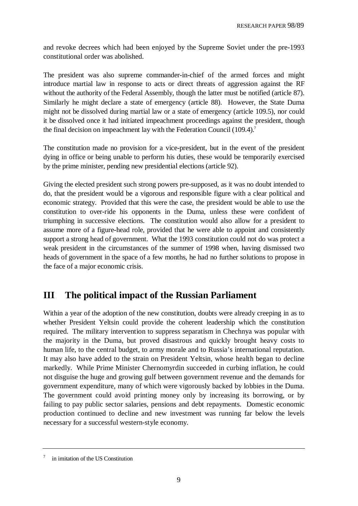and revoke decrees which had been enjoyed by the Supreme Soviet under the pre-1993 constitutional order was abolished.

The president was also supreme commander-in-chief of the armed forces and might introduce martial law in response to acts or direct threats of aggression against the RF without the authority of the Federal Assembly, though the latter must be notified (article 87). Similarly he might declare a state of emergency (article 88). However, the State Duma might not be dissolved during martial law or a state of emergency (article 109.5), nor could it be dissolved once it had initiated impeachment proceedings against the president, though the final decision on impeachment lay with the Federation Council (109.4).<sup>7</sup>

The constitution made no provision for a vice-president, but in the event of the president dying in office or being unable to perform his duties, these would be temporarily exercised by the prime minister, pending new presidential elections (article 92).

Giving the elected president such strong powers pre-supposed, as it was no doubt intended to do, that the president would be a vigorous and responsible figure with a clear political and economic strategy. Provided that this were the case, the president would be able to use the constitution to over-ride his opponents in the Duma, unless these were confident of triumphing in successive elections. The constitution would also allow for a president to assume more of a figure-head role, provided that he were able to appoint and consistently support a strong head of government. What the 1993 constitution could not do was protect a weak president in the circumstances of the summer of 1998 when, having dismissed two heads of government in the space of a few months, he had no further solutions to propose in the face of a major economic crisis.

## **III The political impact of the Russian Parliament**

Within a year of the adoption of the new constitution, doubts were already creeping in as to whether President Yeltsin could provide the coherent leadership which the constitution required. The military intervention to suppress separatism in Chechnya was popular with the majority in the Duma, but proved disastrous and quickly brought heavy costs to human life, to the central budget, to army morale and to Russia's international reputation. It may also have added to the strain on President Yeltsin, whose health began to decline markedly. While Prime Minister Chernomyrdin succeeded in curbing inflation, he could not disguise the huge and growing gulf between government revenue and the demands for government expenditure, many of which were vigorously backed by lobbies in the Duma. The government could avoid printing money only by increasing its borrowing, or by failing to pay public sector salaries, pensions and debt repayments. Domestic economic production continued to decline and new investment was running far below the levels necessary for a successful western-style economy.

<sup>7</sup> in imitation of the US Constitution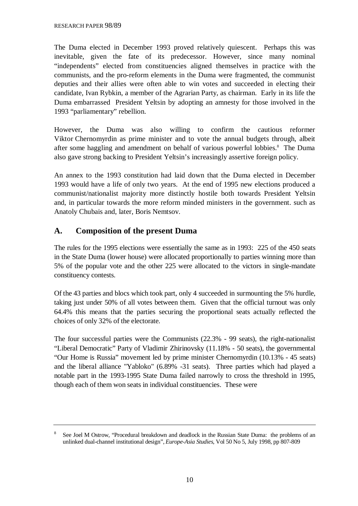The Duma elected in December 1993 proved relatively quiescent. Perhaps this was inevitable, given the fate of its predecessor. However, since many nominal "independents" elected from constituencies aligned themselves in practice with the communists, and the pro-reform elements in the Duma were fragmented, the communist deputies and their allies were often able to win votes and succeeded in electing their candidate, Ivan Rybkin, a member of the Agrarian Party, as chairman. Early in its life the Duma embarrassed President Yeltsin by adopting an amnesty for those involved in the 1993 "parliamentary" rebellion.

However, the Duma was also willing to confirm the cautious reformer Viktor Chernomyrdin as prime minister and to vote the annual budgets through, albeit after some haggling and amendment on behalf of various powerful lobbies.<sup>8</sup> The Duma also gave strong backing to President Yeltsin's increasingly assertive foreign policy.

An annex to the 1993 constitution had laid down that the Duma elected in December 1993 would have a life of only two years. At the end of 1995 new elections produced a communist/nationalist majority more distinctly hostile both towards President Yeltsin and, in particular towards the more reform minded ministers in the government. such as Anatoly Chubais and, later, Boris Nemtsov.

#### **A. Composition of the present Duma**

The rules for the 1995 elections were essentially the same as in 1993: 225 of the 450 seats in the State Duma (lower house) were allocated proportionally to parties winning more than 5% of the popular vote and the other 225 were allocated to the victors in single-mandate constituency contests.

Of the 43 parties and blocs which took part, only 4 succeeded in surmounting the 5% hurdle, taking just under 50% of all votes between them. Given that the official turnout was only 64.4% this means that the parties securing the proportional seats actually reflected the choices of only 32% of the electorate.

The four successful parties were the Communists (22.3% - 99 seats), the right-nationalist "Liberal Democratic" Party of Vladimir Zhirinovsky (11.18% - 50 seats), the governmental "Our Home is Russia" movement led by prime minister Chernomyrdin (10.13% - 45 seats) and the liberal alliance "Yabloko" (6.89% -31 seats). Three parties which had played a notable part in the 1993-1995 State Duma failed narrowly to cross the threshold in 1995, though each of them won seats in individual constituencies. These were

<sup>&</sup>lt;sup>8</sup> See Joel M Ostrow, "Procedural breakdown and deadlock in the Russian State Duma: the problems of an unlinked dual-channel institutional design", *Europe-Asia Studies*, Vol 50 No 5, July 1998, pp 807-809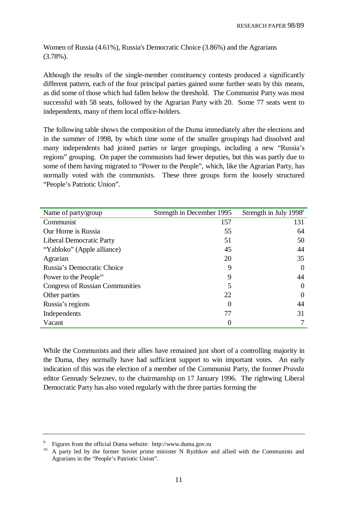Women of Russia (4.61%), Russia's Democratic Choice (3.86%) and the Agrarians (3.78%).

Although the results of the single-member constituency contests produced a significantly different pattern, each of the four principal parties gained some further seats by this means, as did some of those which had fallen below the threshold. The Communist Party was most successful with 58 seats, followed by the Agrarian Party with 20. Some 77 seats went to independents, many of them local office-holders.

The following table shows the composition of the Duma immediately after the elections and in the summer of 1998, by which time some of the smaller groupings had dissolved and many independents had joined parties or larger groupings, including a new "Russia's regions" grouping. On paper the communists had fewer deputies, but this was partly due to some of them having migrated to "Power to the People", which, like the Agrarian Party, has normally voted with the communists. These three groups form the loosely structured "People's Patriotic Union".

| Name of party/group                    | Strength in December 1995 | Strength in July 1998 <sup>9</sup> |
|----------------------------------------|---------------------------|------------------------------------|
| Communist                              | 157                       | 131                                |
| Our Home is Russia                     | 55                        | 64                                 |
| <b>Liberal Democratic Party</b>        | 51                        | 50                                 |
| "Yabloko" (Apple alliance)             | 45                        | 44                                 |
| Agrarian                               | 20                        | 35                                 |
| Russia's Democratic Choice             | 9                         | $\Omega$                           |
| Power to the People <sup>10</sup>      | 9                         | 44                                 |
| <b>Congress of Russian Communities</b> | 5                         | $\Omega$                           |
| Other parties                          | 22                        | $\Omega$                           |
| Russia's regions                       | $\Omega$                  | 44                                 |
| Independents                           | 77                        | 31                                 |
| Vacant                                 |                           |                                    |

While the Communists and their allies have remained just short of a controlling majority in the Duma, they normally have had sufficient support to win important votes. An early indication of this was the election of a member of the Communist Party, the former *Pravda* editor Gennady Seleznev, to the chairmanship on 17 January 1996. The rightwing Liberal Democratic Party has also voted regularly with the three parties forming the

<sup>9</sup> Figures from the official Duma website: http://www.duma.gov.ru

<sup>&</sup>lt;sup>10</sup> A party led by the former Soviet prime minister N Ryzhkov and allied with the Communists and Agrarians in the "People's Patriotic Union".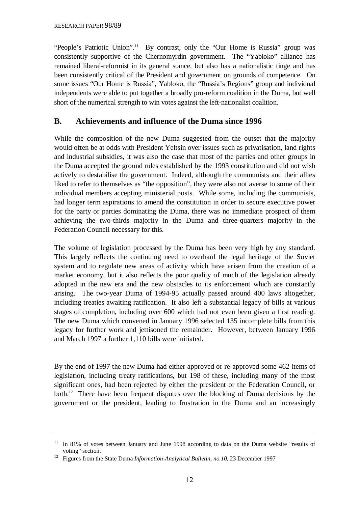"People's Patriotic Union".<sup>11</sup> By contrast, only the "Our Home is Russia" group was consistently supportive of the Chernomyrdin government. The "Yabloko" alliance has remained liberal-reformist in its general stance, but also has a nationalistic tinge and has been consistently critical of the President and government on grounds of competence. On some issues "Our Home is Russia", Yabloko, the "Russia's Regions" group and individual independents were able to put together a broadly pro-reform coalition in the Duma, but well short of the numerical strength to win votes against the left-nationalist coalition.

#### **B. Achievements and influence of the Duma since 1996**

While the composition of the new Duma suggested from the outset that the majority would often be at odds with President Yeltsin over issues such as privatisation, land rights and industrial subsidies, it was also the case that most of the parties and other groups in the Duma accepted the ground rules established by the 1993 constitution and did not wish actively to destabilise the government. Indeed, although the communists and their allies liked to refer to themselves as "the opposition", they were also not averse to some of their individual members accepting ministerial posts. While some, including the communists, had longer term aspirations to amend the constitution in order to secure executive power for the party or parties dominating the Duma, there was no immediate prospect of them achieving the two-thirds majority in the Duma and three-quarters majority in the Federation Council necessary for this.

The volume of legislation processed by the Duma has been very high by any standard. This largely reflects the continuing need to overhaul the legal heritage of the Soviet system and to regulate new areas of activity which have arisen from the creation of a market economy, but it also reflects the poor quality of much of the legislation already adopted in the new era and the new obstacles to its enforcement which are constantly arising. The two-year Duma of 1994-95 actually passed around 400 laws altogether, including treaties awaiting ratification. It also left a substantial legacy of bills at various stages of completion, including over 600 which had not even been given a first reading. The new Duma which convened in January 1996 selected 135 incomplete bills from this legacy for further work and jettisoned the remainder. However, between January 1996 and March 1997 a further 1,110 bills were initiated.

By the end of 1997 the new Duma had either approved or re-approved some 462 items of legislation, including treaty ratifications, but 198 of these, including many of the most significant ones, had been rejected by either the president or the Federation Council, or both.12 There have been frequent disputes over the blocking of Duma decisions by the government or the president, leading to frustration in the Duma and an increasingly

<sup>&</sup>lt;sup>11</sup> In 81% of votes between January and June 1998 according to data on the Duma website "results of voting" section.

<sup>12</sup> Figures from the State Duma *Information-Analytical Bulletin, no.10*, 23 December 1997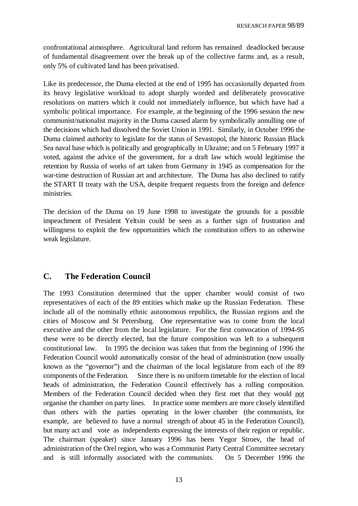confrontational atmosphere. Agricultural land reform has remained deadlocked because of fundamental disagreement over the break up of the collective farms and, as a result, only 5% of cultivated land has been privatised.

Like its predecessor, the Duma elected at the end of 1995 has occasionally departed from its heavy legislative workload to adopt sharply worded and deliberately provocative resolutions on matters which it could not immediately influence, but which have had a symbolic political importance. For example, at the beginning of the 1996 session the new communist/nationalist majority in the Duma caused alarm by symbolically annulling one of the decisions which had dissolved the Soviet Union in 1991. Similarly, in October 1996 the Duma claimed authority to legislate for the status of Sevastopol, the historic Russian Black Sea naval base which is politically and geographically in Ukraine; and on 5 February 1997 it voted, against the advice of the government, for a draft law which would legitimise the retention by Russia of works of art taken from Germany in 1945 as compensation for the war-time destruction of Russian art and architecture. The Duma has also declined to ratify the START II treaty with the USA, despite frequent requests from the foreign and defence ministries.

The decision of the Duma on 19 June 1998 to investigate the grounds for a possible impeachment of President Yeltsin could be seen as a further sign of frustration and willingness to exploit the few opportunities which the constitution offers to an otherwise weak legislature.

#### **C. The Federation Council**

The 1993 Constitution determined that the upper chamber would consist of two representatives of each of the 89 entities which make up the Russian Federation. These include all of the nominally ethnic autonomous republics, the Russian regions and the cities of Moscow and St Petersburg. One representative was to come from the local executive and the other from the local legislature. For the first convocation of 1994-95 these were to be directly elected, but the future composition was left to a subsequent constitutional law. In 1995 the decision was taken that from the beginning of 1996 the Federation Council would automatically consist of the head of administration (now usually known as the "governor") and the chairman of the local legislature from each of the 89 components of the Federation. Since there is no uniform timetable for the election of local heads of administration, the Federation Council effectively has a rolling composition. Members of the Federation Council decided when they first met that they would not organise the chamber on party lines. In practice some members are more closely identified than others with the parties operating in the lower chamber (the communists, for example, are believed to have a normal strength of about 45 in the Federation Council), but many act and vote as independents expressing the interests of their region or republic. The chairman (speaker) since January 1996 has been Yegor Stroev, the head of administration of the Orel region, who was a Communist Party Central Committee secretary and is still informally associated with the communists. On 5 December 1996 the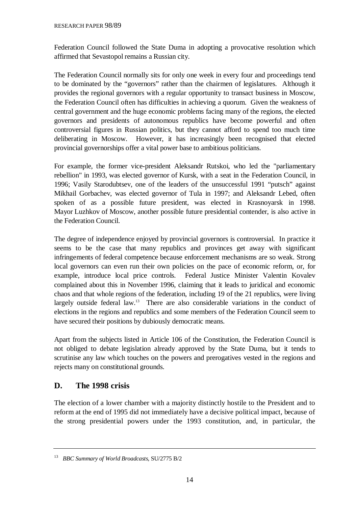Federation Council followed the State Duma in adopting a provocative resolution which affirmed that Sevastopol remains a Russian city.

The Federation Council normally sits for only one week in every four and proceedings tend to be dominated by the "governors" rather than the chairmen of legislatures. Although it provides the regional governors with a regular opportunity to transact business in Moscow, the Federation Council often has difficulties in achieving a quorum. Given the weakness of central government and the huge economic problems facing many of the regions, the elected governors and presidents of autonomous republics have become powerful and often controversial figures in Russian politics, but they cannot afford to spend too much time deliberating in Moscow. However, it has increasingly been recognised that elected provincial governorships offer a vital power base to ambitious politicians.

For example, the former vice-president Aleksandr Rutskoi, who led the "parliamentary rebellion" in 1993, was elected governor of Kursk, with a seat in the Federation Council, in 1996; Vasily Starodubtsev, one of the leaders of the unsuccessful 1991 "putsch" against Mikhail Gorbachev, was elected governor of Tula in 1997; and Aleksandr Lebed, often spoken of as a possible future president, was elected in Krasnoyarsk in 1998. Mayor Luzhkov of Moscow, another possible future presidential contender, is also active in the Federation Council.

The degree of independence enjoyed by provincial governors is controversial. In practice it seems to be the case that many republics and provinces get away with significant infringements of federal competence because enforcement mechanisms are so weak. Strong local governors can even run their own policies on the pace of economic reform, or, for example, introduce local price controls. Federal Justice Minister Valentin Kovalev complained about this in November 1996, claiming that it leads to juridical and economic chaos and that whole regions of the federation, including 19 of the 21 republics, were living largely outside federal law.<sup>13</sup> There are also considerable variations in the conduct of elections in the regions and republics and some members of the Federation Council seem to have secured their positions by dubiously democratic means.

Apart from the subjects listed in Article 106 of the Constitution, the Federation Council is not obliged to debate legislation already approved by the State Duma, but it tends to scrutinise any law which touches on the powers and prerogatives vested in the regions and rejects many on constitutional grounds.

#### **D. The 1998 crisis**

The election of a lower chamber with a majority distinctly hostile to the President and to reform at the end of 1995 did not immediately have a decisive political impact, because of the strong presidential powers under the 1993 constitution, and, in particular, the

<sup>13</sup> *BBC Summary of World Broadcasts*, SU/2775 B/2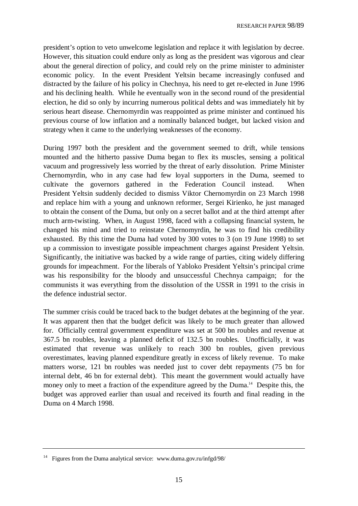president's option to veto unwelcome legislation and replace it with legislation by decree. However, this situation could endure only as long as the president was vigorous and clear about the general direction of policy, and could rely on the prime minister to administer economic policy. In the event President Yeltsin became increasingly confused and distracted by the failure of his policy in Chechnya, his need to get re-elected in June 1996 and his declining health. While he eventually won in the second round of the presidential election, he did so only by incurring numerous political debts and was immediately hit by serious heart disease. Chernomyrdin was reappointed as prime minister and continued his previous course of low inflation and a nominally balanced budget, but lacked vision and strategy when it came to the underlying weaknesses of the economy.

During 1997 both the president and the government seemed to drift, while tensions mounted and the hitherto passive Duma began to flex its muscles, sensing a political vacuum and progressively less worried by the threat of early dissolution. Prime Minister Chernomyrdin, who in any case had few loyal supporters in the Duma, seemed to cultivate the governors gathered in the Federation Council instead. When President Yeltsin suddenly decided to dismiss Viktor Chernomyrdin on 23 March 1998 and replace him with a young and unknown reformer, Sergei Kirienko, he just managed to obtain the consent of the Duma, but only on a secret ballot and at the third attempt after much arm-twisting. When, in August 1998, faced with a collapsing financial system, he changed his mind and tried to reinstate Chernomyrdin, he was to find his credibility exhausted. By this time the Duma had voted by 300 votes to 3 (on 19 June 1998) to set up a commission to investigate possible impeachment charges against President Yeltsin. Significantly, the initiative was backed by a wide range of parties, citing widely differing grounds for impeachment. For the liberals of Yabloko President Yeltsin's principal crime was his responsibility for the bloody and unsuccessful Chechnya campaign; for the communists it was everything from the dissolution of the USSR in 1991 to the crisis in the defence industrial sector.

The summer crisis could be traced back to the budget debates at the beginning of the year. It was apparent then that the budget deficit was likely to be much greater than allowed for. Officially central government expenditure was set at 500 bn roubles and revenue at 367.5 bn roubles, leaving a planned deficit of 132.5 bn roubles. Unofficially, it was estimated that revenue was unlikely to reach 300 bn roubles, given previous overestimates, leaving planned expenditure greatly in excess of likely revenue. To make matters worse, 121 bn roubles was needed just to cover debt repayments (75 bn for internal debt, 46 bn for external debt). This meant the government would actually have money only to meet a fraction of the expenditure agreed by the Duma.<sup>14</sup> Despite this, the budget was approved earlier than usual and received its fourth and final reading in the Duma on 4 March 1998.

<sup>&</sup>lt;sup>14</sup> Figures from the Duma analytical service: www.duma.gov.ru/infgd/98/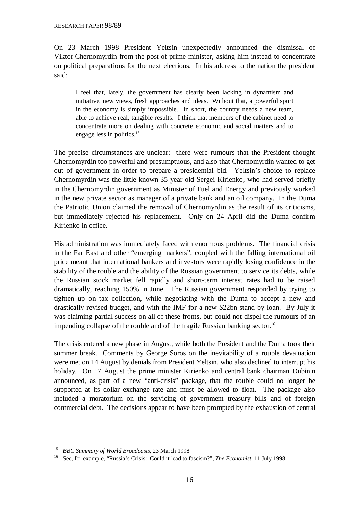On 23 March 1998 President Yeltsin unexpectedly announced the dismissal of Viktor Chernomyrdin from the post of prime minister, asking him instead to concentrate on political preparations for the next elections. In his address to the nation the president said:

I feel that, lately, the government has clearly been lacking in dynamism and initiative, new views, fresh approaches and ideas. Without that, a powerful spurt in the economy is simply impossible. In short, the country needs a new team, able to achieve real, tangible results. I think that members of the cabinet need to concentrate more on dealing with concrete economic and social matters and to engage less in politics.<sup>15</sup>

The precise circumstances are unclear: there were rumours that the President thought Chernomyrdin too powerful and presumptuous, and also that Chernomyrdin wanted to get out of government in order to prepare a presidential bid. Yeltsin's choice to replace Chernomyrdin was the little known 35-year old Sergei Kirienko, who had served briefly in the Chernomyrdin government as Minister of Fuel and Energy and previously worked in the new private sector as manager of a private bank and an oil company. In the Duma the Patriotic Union claimed the removal of Chernomyrdin as the result of its criticisms, but immediately rejected his replacement. Only on 24 April did the Duma confirm Kirienko in office.

His administration was immediately faced with enormous problems. The financial crisis in the Far East and other "emerging markets", coupled with the falling international oil price meant that international bankers and investors were rapidly losing confidence in the stability of the rouble and the ability of the Russian government to service its debts, while the Russian stock market fell rapidly and short-term interest rates had to be raised dramatically, reaching 150% in June. The Russian government responded by trying to tighten up on tax collection, while negotiating with the Duma to accept a new and drastically revised budget, and with the IMF for a new \$22bn stand-by loan. By July it was claiming partial success on all of these fronts, but could not dispel the rumours of an impending collapse of the rouble and of the fragile Russian banking sector.<sup>16</sup>

The crisis entered a new phase in August, while both the President and the Duma took their summer break. Comments by George Soros on the inevitability of a rouble devaluation were met on 14 August by denials from President Yeltsin, who also declined to interrupt his holiday. On 17 August the prime minister Kirienko and central bank chairman Dubinin announced, as part of a new "anti-crisis" package, that the rouble could no longer be supported at its dollar exchange rate and must be allowed to float. The package also included a moratorium on the servicing of government treasury bills and of foreign commercial debt. The decisions appear to have been prompted by the exhaustion of central

<sup>15</sup> *BBC Summary of World Broadcasts*, 23 March 1998

<sup>16</sup> See, for example, "Russia's Crisis: Could it lead to fascism?", *The Economist*, 11 July 1998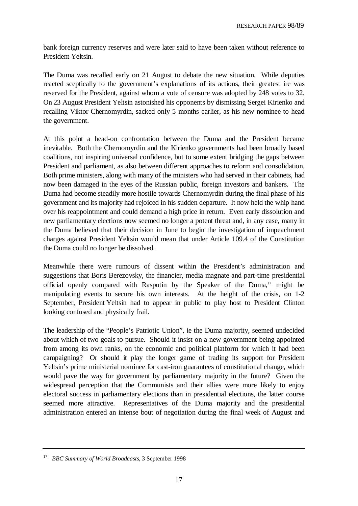bank foreign currency reserves and were later said to have been taken without reference to President Yeltsin.

The Duma was recalled early on 21 August to debate the new situation. While deputies reacted sceptically to the government's explanations of its actions, their greatest ire was reserved for the President, against whom a vote of censure was adopted by 248 votes to 32. On 23 August President Yeltsin astonished his opponents by dismissing Sergei Kirienko and recalling Viktor Chernomyrdin, sacked only 5 months earlier, as his new nominee to head the government.

At this point a head-on confrontation between the Duma and the President became inevitable. Both the Chernomyrdin and the Kirienko governments had been broadly based coalitions, not inspiring universal confidence, but to some extent bridging the gaps between President and parliament, as also between different approaches to reform and consolidation. Both prime ministers, along with many of the ministers who had served in their cabinets, had now been damaged in the eyes of the Russian public, foreign investors and bankers. The Duma had become steadily more hostile towards Chernomyrdin during the final phase of his government and its majority had rejoiced in his sudden departure. It now held the whip hand over his reappointment and could demand a high price in return. Even early dissolution and new parliamentary elections now seemed no longer a potent threat and, in any case, many in the Duma believed that their decision in June to begin the investigation of impeachment charges against President Yeltsin would mean that under Article 109.4 of the Constitution the Duma could no longer be dissolved.

Meanwhile there were rumours of dissent within the President's administration and suggestions that Boris Berezovsky, the financier, media magnate and part-time presidential official openly compared with Rasputin by the Speaker of the Duma,<sup>17</sup> might be manipulating events to secure his own interests. At the height of the crisis, on 1-2 September, President Yeltsin had to appear in public to play host to President Clinton looking confused and physically frail.

The leadership of the "People's Patriotic Union", ie the Duma majority, seemed undecided about which of two goals to pursue. Should it insist on a new government being appointed from among its own ranks, on the economic and political platform for which it had been campaigning? Or should it play the longer game of trading its support for President Yeltsin's prime ministerial nominee for cast-iron guarantees of constitutional change, which would pave the way for government by parliamentary majority in the future? Given the widespread perception that the Communists and their allies were more likely to enjoy electoral success in parliamentary elections than in presidential elections, the latter course seemed more attractive. Representatives of the Duma majority and the presidential administration entered an intense bout of negotiation during the final week of August and

<sup>17</sup> *BBC Summary of World Broadcasts*, 3 September 1998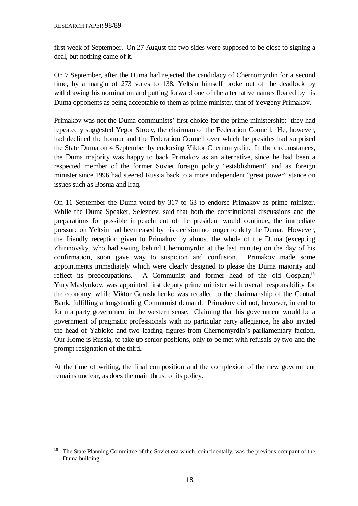first week of September. On 27 August the two sides were supposed to be close to signing a deal, but nothing came of it.

On 7 September, after the Duma had rejected the candidacy of Chernomyrdin for a second time, by a margin of 273 votes to 138, Yeltsin himself broke out of the deadlock by withdrawing his nomination and putting forward one of the alternative names floated by his Duma opponents as being acceptable to them as prime minister, that of Yevgeny Primakov.

Primakov was not the Duma communists' first choice for the prime ministership: they had repeatedly suggested Yegor Stroev, the chairman of the Federation Council. He, however, had declined the honour and the Federation Council over which he presides had surprised the State Duma on 4 September by endorsing Viktor Chernomyrdin. In the circumstances, the Duma majority was happy to back Primakov as an alternative, since he had been a respected member of the former Soviet foreign policy "establishment" and as foreign minister since 1996 had steered Russia back to a more independent "great power" stance on issues such as Bosnia and Iraq.

On 11 September the Duma voted by 317 to 63 to endorse Primakov as prime minister. While the Duma Speaker, Seleznev, said that both the constitutional discussions and the preparations for possible impeachment of the president would continue, the immediate pressure on Yeltsin had been eased by his decision no longer to defy the Duma. However, the friendly reception given to Primakov by almost the whole of the Duma (excepting Zhirinovsky, who had swung behind Chernomyrdin at the last minute) on the day of his confirmation, soon gave way to suspicion and confusion. Primakov made some appointments immediately which were clearly designed to please the Duma majority and reflect its preoccupations. A Communist and former head of the old Gosplan,<sup>18</sup> Yury Maslyukov, was appointed first deputy prime minister with overall responsibility for the economy, while Viktor Gerashchenko was recalled to the chairmanship of the Central Bank, fulfilling a longstanding Communist demand. Primakov did not, however, intend to form a party government in the western sense. Claiming that his government would be a government of pragmatic professionals with no particular party allegiance, he also invited the head of Yabloko and two leading figures from Chernomyrdin's parliamentary faction, Our Home is Russia, to take up senior positions, only to be met with refusals by two and the prompt resignation of the third.

At the time of writing, the final composition and the complexion of the new government remains unclear, as does the main thrust of its policy.

<sup>&</sup>lt;sup>18</sup> The State Planning Committee of the Soviet era which, coincidentally, was the previous occupant of the Duma building.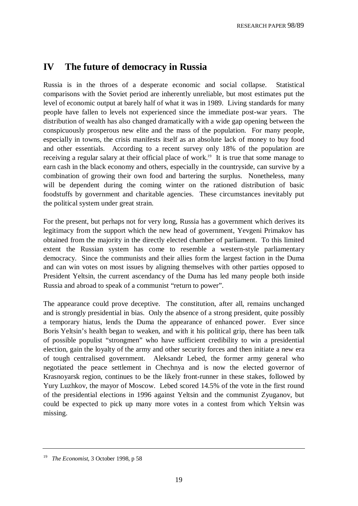## **IV The future of democracy in Russia**

Russia is in the throes of a desperate economic and social collapse. Statistical comparisons with the Soviet period are inherently unreliable, but most estimates put the level of economic output at barely half of what it was in 1989. Living standards for many people have fallen to levels not experienced since the immediate post-war years. The distribution of wealth has also changed dramatically with a wide gap opening between the conspicuously prosperous new elite and the mass of the population. For many people, especially in towns, the crisis manifests itself as an absolute lack of money to buy food and other essentials. According to a recent survey only 18% of the population are receiving a regular salary at their official place of work.<sup>19</sup> It is true that some manage to earn cash in the black economy and others, especially in the countryside, can survive by a combination of growing their own food and bartering the surplus. Nonetheless, many will be dependent during the coming winter on the rationed distribution of basic foodstuffs by government and charitable agencies. These circumstances inevitably put the political system under great strain.

For the present, but perhaps not for very long, Russia has a government which derives its legitimacy from the support which the new head of government, Yevgeni Primakov has obtained from the majority in the directly elected chamber of parliament. To this limited extent the Russian system has come to resemble a western-style parliamentary democracy. Since the communists and their allies form the largest faction in the Duma and can win votes on most issues by aligning themselves with other parties opposed to President Yeltsin, the current ascendancy of the Duma has led many people both inside Russia and abroad to speak of a communist "return to power".

The appearance could prove deceptive. The constitution, after all, remains unchanged and is strongly presidential in bias. Only the absence of a strong president, quite possibly a temporary hiatus, lends the Duma the appearance of enhanced power. Ever since Boris Yeltsin's health began to weaken, and with it his political grip, there has been talk of possible populist "strongmen" who have sufficient credibility to win a presidential election, gain the loyalty of the army and other security forces and then initiate a new era of tough centralised government. Aleksandr Lebed, the former army general who negotiated the peace settlement in Chechnya and is now the elected governor of Krasnoyarsk region, continues to be the likely front-runner in these stakes, followed by Yury Luzhkov, the mayor of Moscow. Lebed scored 14.5% of the vote in the first round of the presidential elections in 1996 against Yeltsin and the communist Zyuganov, but could be expected to pick up many more votes in a contest from which Yeltsin was missing.

<sup>19</sup> *The Economist*, 3 October 1998, p 58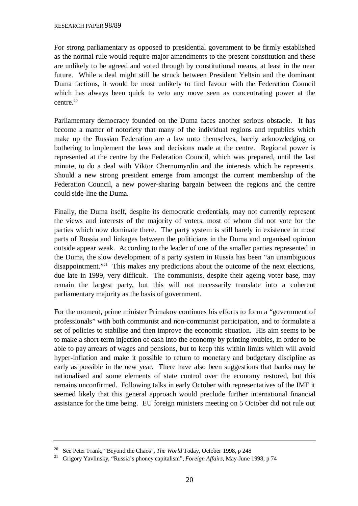For strong parliamentary as opposed to presidential government to be firmly established as the normal rule would require major amendments to the present constitution and these are unlikely to be agreed and voted through by constitutional means, at least in the near future. While a deal might still be struck between President Yeltsin and the dominant Duma factions, it would be most unlikely to find favour with the Federation Council which has always been quick to veto any move seen as concentrating power at the centre.20

Parliamentary democracy founded on the Duma faces another serious obstacle. It has become a matter of notoriety that many of the individual regions and republics which make up the Russian Federation are a law unto themselves, barely acknowledging or bothering to implement the laws and decisions made at the centre. Regional power is represented at the centre by the Federation Council, which was prepared, until the last minute, to do a deal with Viktor Chernomyrdin and the interests which he represents. Should a new strong president emerge from amongst the current membership of the Federation Council, a new power-sharing bargain between the regions and the centre could side-line the Duma.

Finally, the Duma itself, despite its democratic credentials, may not currently represent the views and interests of the majority of voters, most of whom did not vote for the parties which now dominate there. The party system is still barely in existence in most parts of Russia and linkages between the politicians in the Duma and organised opinion outside appear weak. According to the leader of one of the smaller parties represented in the Duma, the slow development of a party system in Russia has been "an unambiguous disappointment."21 This makes any predictions about the outcome of the next elections, due late in 1999, very difficult. The communists, despite their ageing voter base, may remain the largest party, but this will not necessarily translate into a coherent parliamentary majority as the basis of government.

For the moment, prime minister Primakov continues his efforts to form a "government of professionals" with both communist and non-communist participation, and to formulate a set of policies to stabilise and then improve the economic situation. His aim seems to be to make a short-term injection of cash into the economy by printing roubles, in order to be able to pay arrears of wages and pensions, but to keep this within limits which will avoid hyper-inflation and make it possible to return to monetary and budgetary discipline as early as possible in the new year. There have also been suggestions that banks may be nationalised and some elements of state control over the economy restored, but this remains unconfirmed. Following talks in early October with representatives of the IMF it seemed likely that this general approach would preclude further international financial assistance for the time being. EU foreign ministers meeting on 5 October did not rule out

<sup>20</sup> See Peter Frank, "Beyond the Chaos", *The World* Today, October 1998, p 248

<sup>21</sup> Grigory Yavlinsky, "Russia's phoney capitalism", *Foreign Affairs*, May-June 1998, p 74